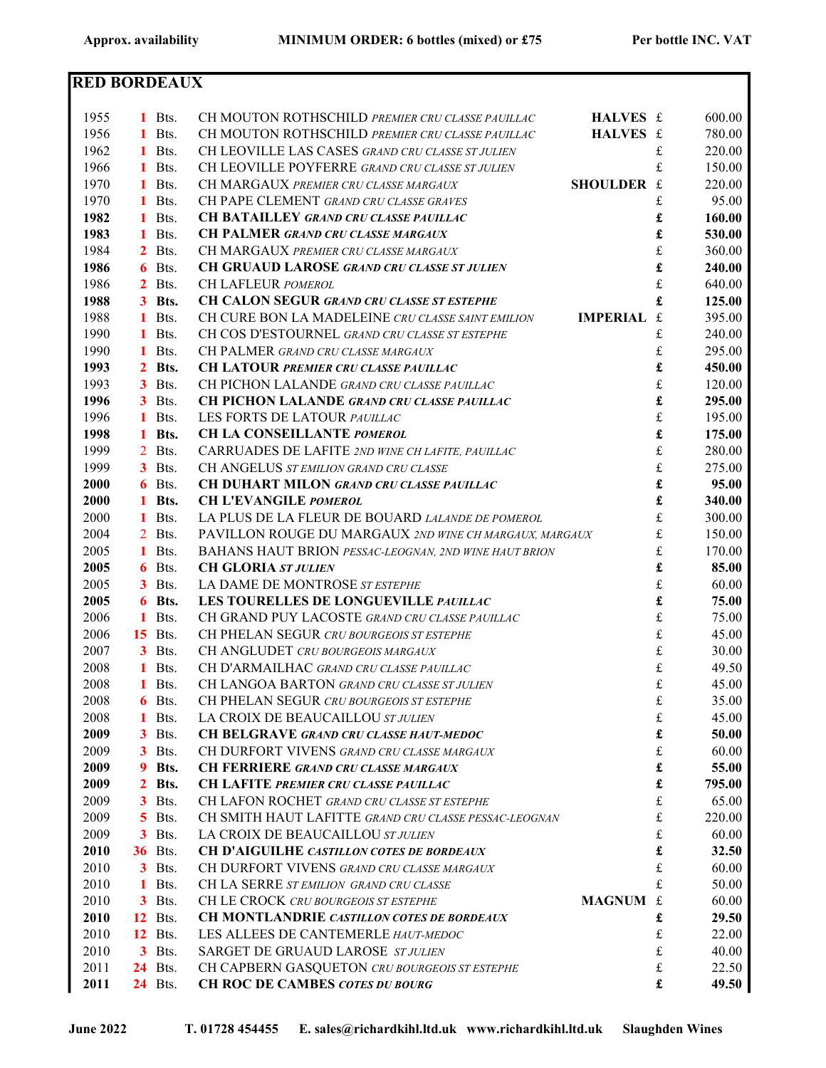| <b>RED BORDEAUX</b> |              |                        |                                                                                         |             |                |
|---------------------|--------------|------------------------|-----------------------------------------------------------------------------------------|-------------|----------------|
|                     |              |                        |                                                                                         |             |                |
| 1955                |              | $1$ Bts.               | CH MOUTON ROTHSCHILD PREMIER CRU CLASSE PAUILLAC<br>HALVES £                            |             | 600.00         |
| 1956                |              | 1 Bts.                 | CH MOUTON ROTHSCHILD PREMIER CRU CLASSE PAUILLAC<br>HALVES £                            |             | 780.00         |
| 1962                |              | 1 Bts.                 | CH LEOVILLE LAS CASES GRAND CRU CLASSE ST JULIEN                                        | £           | 220.00         |
| 1966                |              | 1 Bts.                 | CH LEOVILLE POYFERRE GRAND CRU CLASSE ST JULIEN                                         | £           | 150.00         |
| 1970                |              | 1 Bts.                 | SHOULDER £<br>CH MARGAUX PREMIER CRU CLASSE MARGAUX                                     |             | 220.00         |
| 1970                | 1.           | Bts.                   | CH PAPE CLEMENT GRAND CRU CLASSE GRAVES                                                 | £           | 95.00          |
| 1982                | 1            | Bts.                   | <b>CH BATAILLEY GRAND CRU CLASSE PAUILLAC</b>                                           | £           | 160.00         |
| 1983                | 1            | Bts.                   | <b>CH PALMER GRAND CRU CLASSE MARGAUX</b>                                               | £           | 530.00         |
| 1984                | $2^{\circ}$  | Bts.                   | CH MARGAUX PREMIER CRU CLASSE MARGAUX                                                   | $\frak{L}$  | 360.00         |
| 1986                |              | 6 Bts.                 | <b>CH GRUAUD LAROSE GRAND CRU CLASSE ST JULIEN</b>                                      | £           | 240.00         |
| 1986                |              | $2$ Bts.               | CH LAFLEUR POMEROL                                                                      | $\frak{L}$  | 640.00         |
| 1988                |              | 3 Bts.                 | CH CALON SEGUR GRAND CRU CLASSE ST ESTEPHE                                              | £           | 125.00         |
| 1988                |              | 1 Bts.                 | <b>IMPERIAL</b><br>CH CURE BON LA MADELEINE CRU CLASSE SAINT EMILION                    | $\mathbf f$ | 395.00         |
| 1990                |              | 1 Bts.                 | CH COS D'ESTOURNEL GRAND CRU CLASSE ST ESTEPHE                                          | £           | 240.00         |
| 1990                | $\mathbf{1}$ | Bts.                   | CH PALMER GRAND CRU CLASSE MARGAUX                                                      | £           | 295.00         |
| 1993                |              | 2 Bts.                 | <b>CH LATOUR PREMIER CRU CLASSE PAUILLAC</b>                                            | £           | 450.00         |
| 1993                | 3            | Bts.                   | CH PICHON LALANDE GRAND CRU CLASSE PAUILLAC                                             | £           | 120.00         |
| 1996                |              | $3$ Bts.               | <b>CH PICHON LALANDE GRAND CRU CLASSE PAUILLAC</b>                                      | £           | 295.00         |
| 1996                | $\mathbf{1}$ | Bts.                   | LES FORTS DE LATOUR PAUILLAC                                                            | £           | 195.00         |
| 1998                | $\mathbf{1}$ | Bts.                   | CH LA CONSEILLANTE POMEROL                                                              | £           | 175.00         |
| 1999                |              | 2 Bts.                 | CARRUADES DE LAFITE 2ND WINE CH LAFITE, PAUILLAC                                        | $\frak{t}$  | 280.00         |
| 1999                | 3            | Bts.                   | CH ANGELUS ST EMILION GRAND CRU CLASSE                                                  | $\frak{L}$  | 275.00         |
| 2000                | 6            | Bts.                   | <b>CH DUHART MILON GRAND CRU CLASSE PAUILLAC</b>                                        | £           | 95.00          |
| 2000                | 1.           | Bts.                   | <b>CH L'EVANGILE POMEROL</b>                                                            | £           | 340.00         |
| 2000                |              | Bts.                   | LA PLUS DE LA FLEUR DE BOUARD LALANDE DE POMEROL                                        | $\frak{L}$  | 300.00         |
| 2004                |              | 2 Bts.                 | PAVILLON ROUGE DU MARGAUX 2ND WINE CH MARGAUX, MARGAUX                                  | $\frak{L}$  | 150.00         |
| 2005                |              | 1 Bts.                 | BAHANS HAUT BRION PESSAC-LEOGNAN, 2ND WINE HAUT BRION                                   | $\frak{L}$  | 170.00         |
| 2005                |              | 6 Bts.                 | <b>CH GLORIA ST JULIEN</b>                                                              | £           | 85.00          |
| 2005                |              | $3$ Bts.               | LA DAME DE MONTROSE ST ESTEPHE                                                          | £           | 60.00          |
| 2005                |              | 6 Bts.                 | LES TOURELLES DE LONGUEVILLE PAUILLAC                                                   | £           | 75.00          |
| 2006                |              | 1 Bts.                 | CH GRAND PUY LACOSTE GRAND CRU CLASSE PAUILLAC                                          | £           | 75.00          |
| 2006                |              | <b>15</b> Bts.         | CH PHELAN SEGUR CRU BOURGEOIS ST ESTEPHE                                                | £           | 45.00          |
| 2007                |              | $3$ Bts.               | CH ANGLUDET CRU BOURGEOIS MARGAUX                                                       | £           | 30.00          |
| 2008                |              | 1 Bts.                 | CH D'ARMAILHAC GRAND CRU CLASSE PAUILLAC                                                | £           | 49.50          |
| 2008                | 1            | Bts.                   | CH LANGOA BARTON GRAND CRU CLASSE ST JULIEN                                             | £           | 45.00          |
| 2008                | 6            | Bts.                   | CH PHELAN SEGUR CRU BOURGEOIS ST ESTEPHE                                                | £           | 35.00          |
| 2008                | 1            | Bts.                   | LA CROIX DE BEAUCAILLOU ST JULIEN                                                       | $\frak{t}$  | 45.00          |
| 2009                | 3            | Bts.                   | <b>CH BELGRAVE GRAND CRU CLASSE HAUT-MEDOC</b>                                          | £           | 50.00          |
| 2009                | 3            | Bts.                   | CH DURFORT VIVENS GRAND CRU CLASSE MARGAUX                                              | £           | 60.00          |
| 2009                | 9            | Bts.                   | <b>CH FERRIERE GRAND CRU CLASSE MARGAUX</b>                                             | £           | 55.00          |
| 2009                | $\mathbf{2}$ | Bts.                   | CH LAFITE PREMIER CRU CLASSE PAUILLAC                                                   | £           | 795.00         |
| 2009                | 3            | Bts.                   | CH LAFON ROCHET GRAND CRU CLASSE ST ESTEPHE                                             | $\pounds$   | 65.00          |
| 2009                | 5.           | Bts.                   | CH SMITH HAUT LAFITTE GRAND CRU CLASSE PESSAC-LEOGNAN                                   | $\pounds$   | 220.00         |
| 2009                | 3            | Bts.                   | LA CROIX DE BEAUCAILLOU ST JULIEN                                                       | £           | 60.00          |
| 2010                |              | <b>36</b> Bts.         | <b>CH D'AIGUILHE CASTILLON COTES DE BORDEAUX</b>                                        | £           | 32.50          |
| 2010                |              | $3$ Bts.               | CH DURFORT VIVENS GRAND CRU CLASSE MARGAUX                                              | £           | 60.00          |
| 2010                | 1.           | Bts.                   | CH LA SERRE ST EMILION GRAND CRU CLASSE                                                 | £           | 50.00          |
| 2010                |              | $3$ Bts.               | <b>MAGNUM</b><br>CH LE CROCK CRU BOURGEOIS ST ESTEPHE                                   | £           | 60.00          |
| 2010                |              | <b>12</b> Bts.         | CH MONTLANDRIE CASTILLON COTES DE BORDEAUX                                              | £           | 29.50          |
| 2010<br>2010        |              | <b>12</b> Bts.         | LES ALLEES DE CANTEMERLE HAUT-MEDOC                                                     | £           | 22.00          |
| 2011                | 3            | Bts.<br><b>24</b> Bts. | SARGET DE GRUAUD LAROSE STJULIEN                                                        | £           | 40.00          |
| 2011                |              | <b>24</b> Bts.         | CH CAPBERN GASQUETON CRU BOURGEOIS ST ESTEPHE<br><b>CH ROC DE CAMBES COTES DU BOURG</b> | £<br>£      | 22.50<br>49.50 |
|                     |              |                        |                                                                                         |             |                |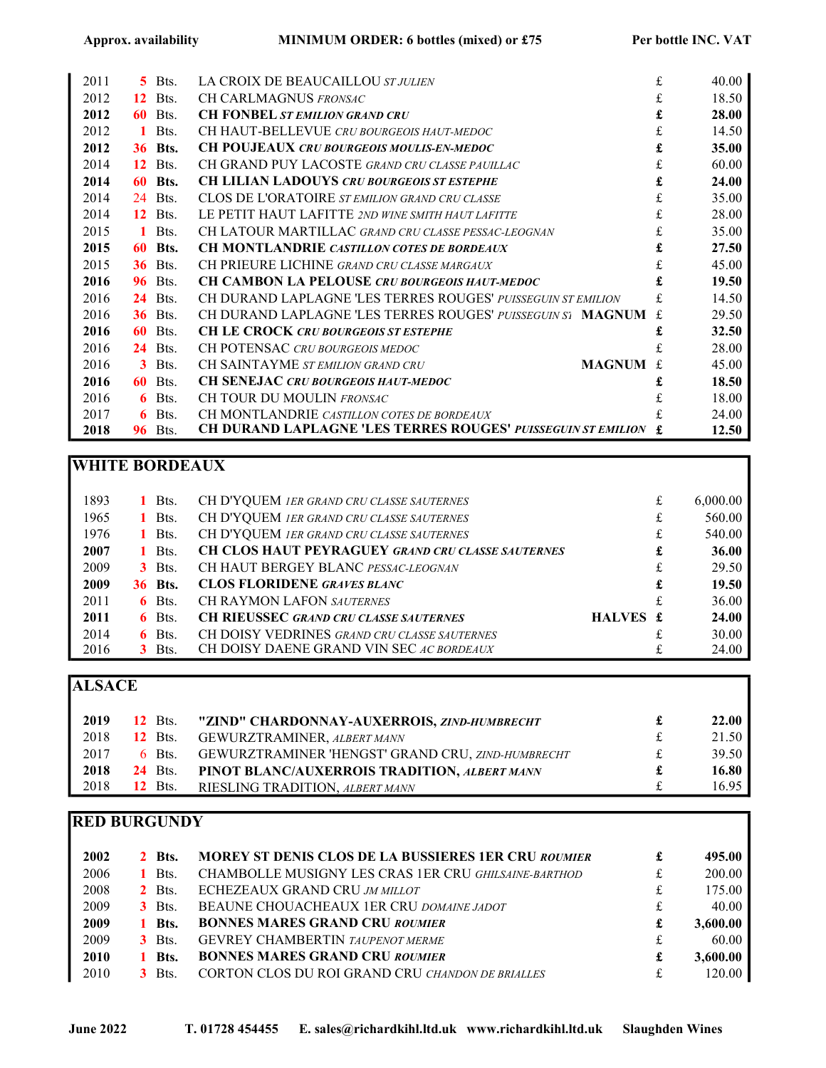| 2011 | 5. | Bts.           | LA CROIX DE BEAUCAILLOU ST JULIEN                                   | £  | 40.00 |
|------|----|----------------|---------------------------------------------------------------------|----|-------|
| 2012 | 12 | Bts.           | CH CARLMAGNUS FRONSAC                                               | £  | 18.50 |
| 2012 | 60 | Bts.           | <b>CH FONBEL ST EMILION GRAND CRU</b>                               | £  | 28.00 |
| 2012 | 1  | Bts.           | CH HAUT-BELLEVUE CRU BOURGEOIS HAUT-MEDOC                           | £  | 14.50 |
| 2012 | 36 | Bts.           | <b>CH POUJEAUX CRU BOURGEOIS MOULIS-EN-MEDOC</b>                    | £  | 35.00 |
| 2014 | 12 | Bts.           | CH GRAND PUY LACOSTE GRAND CRU CLASSE PAUILLAC                      | £  | 60.00 |
| 2014 | 60 | Bts.           | <b>CH LILIAN LADOUYS CRU BOURGEOIS ST ESTEPHE</b>                   | £  | 24.00 |
| 2014 | 24 | Bts.           | CLOS DE L'ORATOIRE ST EMILION GRAND CRU CLASSE                      | £  | 35.00 |
| 2014 | 12 | Bts.           | LE PETIT HAUT LAFITTE 2ND WINE SMITH HAUT LAFITTE                   | £  | 28.00 |
| 2015 | 1  | Bts.           | CH LATOUR MARTILLAC GRAND CRU CLASSE PESSAC-LEOGNAN                 | £  | 35.00 |
| 2015 | 60 | Bts.           | <b>CH MONTLANDRIE CASTILLON COTES DE BORDEAUX</b>                   | £  | 27.50 |
| 2015 |    | <b>36</b> Bts. | CH PRIEURE LICHINE GRAND CRU CLASSE MARGAUX                         | £  | 45.00 |
| 2016 | 96 | Bts.           | <b>CH CAMBON LA PELOUSE CRU BOURGEOIS HAUT-MEDOC</b>                | £  | 19.50 |
| 2016 | 24 | Bts.           | CH DURAND LAPLAGNE 'LES TERRES ROUGES' PUISSEGUIN ST EMILION        | £. | 14.50 |
| 2016 | 36 | Bts.           | CH DURAND LAPLAGNE 'LES TERRES ROUGES' PUISSEGUIN S1 MAGNUM         |    | 29.50 |
| 2016 | 60 | Bts.           | <b>CH LE CROCK CRU BOURGEOIS ST ESTEPHE</b>                         |    | 32.50 |
| 2016 | 24 | Bts.           | CH POTENSAC CRU BOURGEOIS MEDOC                                     | £  | 28.00 |
| 2016 | 3  | Bts.           | CH SAINTAYME ST EMILION GRAND CRU<br><b>MAGNUM</b>                  | £. | 45.00 |
| 2016 | 60 | Bts.           | CH SENEJAC CRU BOURGEOIS HAUT-MEDOC                                 | £  | 18.50 |
| 2016 | 6  | Bts.           | CH TOUR DU MOULIN FRONSAC                                           | £  | 18.00 |
| 2017 | 6  | Bts.           | CH MONTLANDRIE CASTILLON COTES DE BORDEAUX                          |    | 24.00 |
| 2018 | 96 | Bts.           | <b>CH DURAND LAPLAGNE 'LES TERRES ROUGES' PUISSEGUIN ST EMILION</b> | £  | 12.50 |

# WHITE BORDEAUX

| 1893 | 1 Bts.         | CH D'YQUEM 1ER GRAND CRU CLASSE SAUTERNES           |          | £ | 6,000.00 |
|------|----------------|-----------------------------------------------------|----------|---|----------|
| 1965 | 1 Bts.         | CH D'YQUEM IER GRAND CRU CLASSE SAUTERNES           |          | £ | 560.00   |
| 1976 | $1$ Bts.       | CH D'YQUEM IER GRAND CRU CLASSE SAUTERNES           |          | £ | 540.00   |
| 2007 | 1 Bts.         | CH CLOS HAUT PEYRAGUEY GRAND CRU CLASSE SAUTERNES   |          | £ | 36.00    |
| 2009 | $3$ Bts.       | CH HAUT BERGEY BLANC PESSAC-LEOGNAN                 |          | £ | 29.50    |
| 2009 | <b>36 Bts.</b> | <b>CLOS FLORIDENE GRAVES BLANC</b>                  |          | £ | 19.50    |
| 2011 | $6$ Bts.       | <b>CH RAYMON LAFON SAUTERNES</b>                    |          | £ | 36.00    |
| 2011 | $6$ Bts.       | <b>CH RIEUSSEC GRAND CRU CLASSE SAUTERNES</b>       | HALVES £ |   | 24.00    |
| 2014 | $6$ Bts.       | <b>CH DOISY VEDRINES GRAND CRU CLASSE SAUTERNES</b> |          |   | 30.00    |
| 2016 | $3$ Bts.       | CH DOISY DAENE GRAND VIN SEC AC BORDEAUX            |          | £ | 24.00    |

# **ALSACE**

| 2019 | $12$ Bts.      | "ZIND" CHARDONNAY-AUXERROIS, ZIND-HUMBRECHT       |              | 22.00 <sub>1</sub> |
|------|----------------|---------------------------------------------------|--------------|--------------------|
| 2018 | <b>12</b> Bts. | <b>GEWURZTRAMINER, ALBERT MANN</b>                |              | 21.50              |
| 2017 | $6$ Bts.       | GEWURZTRAMINER 'HENGST' GRAND CRU, ZIND-HUMBRECHT | $\mathbf{f}$ | 39.50              |
| 2018 | <b>24</b> Bts. | PINOT BLANC/AUXERROIS TRADITION, ALBERT MANN      |              | 16.80              |
| 2018 | <b>12</b> Bts. | RIESLING TRADITION, ALBERT MANN                   |              | 16.95              |

# RED BURGUNDY

| 2002 | <b>2</b> Bts. | <b>MOREY ST DENIS CLOS DE LA BUSSIERES 1ER CRU ROUMIER</b> | £ | 495.00   |
|------|---------------|------------------------------------------------------------|---|----------|
| 2006 | 1 Bts.        | CHAMBOLLE MUSIGNY LES CRAS 1ER CRU GHILSAINE-BARTHOD       | £ | 200.00   |
| 2008 | $2$ Bts.      | ECHEZEAUX GRAND CRU JM MILLOT                              | £ | 175.00   |
| 2009 | $3$ Bts.      | BEAUNE CHOUACHEAUX 1ER CRU DOMAINE JADOT                   |   | 40.00    |
| 2009 | 1 Bts.        | <b>BONNES MARES GRAND CRU ROUMIER</b>                      | £ | 3,600.00 |
| 2009 | $3$ Bts.      | <b>GEVREY CHAMBERTIN</b> TAUPENOT MERME                    |   | 60.00    |
| 2010 | 1 Bts.        | <b>BONNES MARES GRAND CRU ROUMIER</b>                      | £ | 3,600.00 |
| 2010 | Bts           | CORTON CLOS DU ROI GRAND CRU CHANDON DE BRIALLES           |   | 120.00   |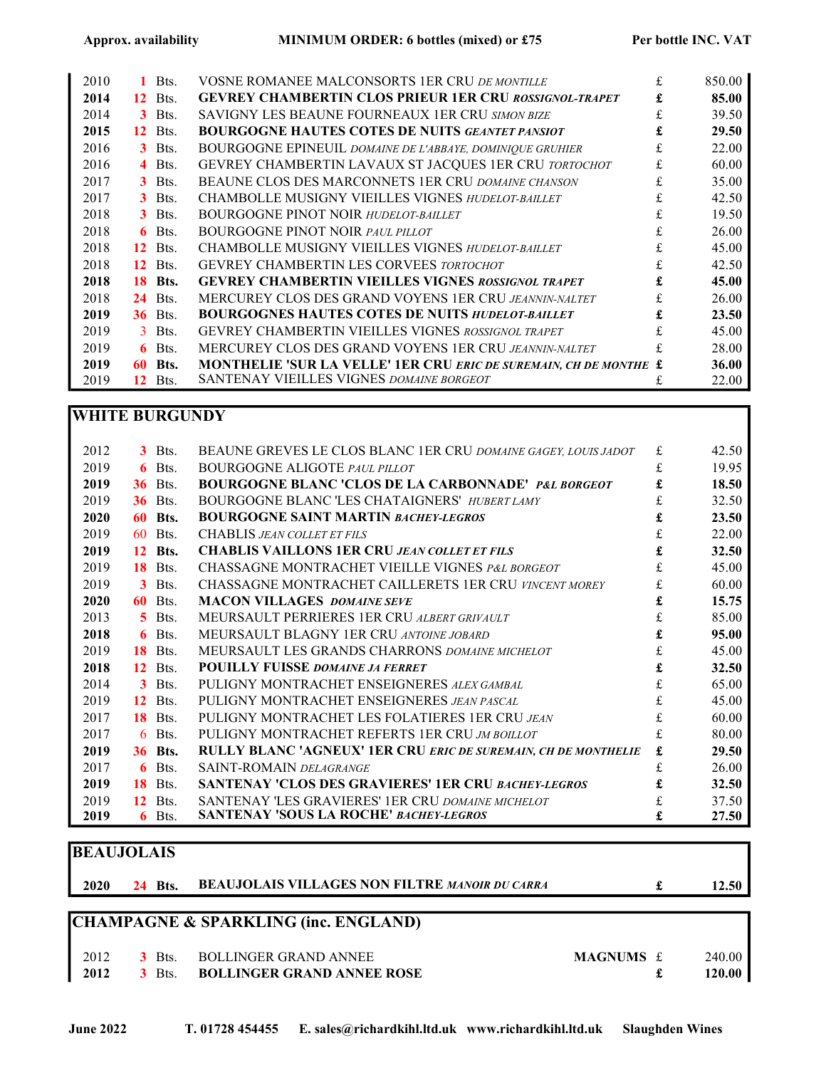| 2010 |                 | Bts.           | <b>VOSNE ROMANEE MALCONSORTS 1ER CRU DE MONTILLE</b>                     | £ | 850.00 |
|------|-----------------|----------------|--------------------------------------------------------------------------|---|--------|
| 2014 | 12              | Bts.           | <b>GEVREY CHAMBERTIN CLOS PRIEUR 1ER CRU ROSSIGNOL-TRAPET</b>            |   | 85.00  |
| 2014 |                 | $3$ Bts.       | <b>SAVIGNY LES BEAUNE FOURNEAUX 1ER CRU SIMON BIZE</b>                   |   | 39.50  |
| 2015 |                 | <b>12</b> Bts. | <b>BOURGOGNE HAUTES COTES DE NUITS GEANTET PANSIOT</b>                   |   | 29.50  |
| 2016 |                 | $3$ Bts.       | <b>BOURGOGNE EPINEUIL DOMAINE DE L'ABBAYE, DOMINIQUE GRUHIER</b>         |   | 22.00  |
| 2016 |                 | $4$ Bts.       | GEVREY CHAMBERTIN LAVAUX ST JACQUES 1ER CRU TORTOCHOT                    |   | 60.00  |
| 2017 |                 | $3$ Bts.       | BEAUNE CLOS DES MARCONNETS 1ER CRU DOMAINE CHANSON                       |   | 35.00  |
| 2017 |                 | $3$ Bts.       | CHAMBOLLE MUSIGNY VIEILLES VIGNES HUDELOT-BAILLET                        |   | 42.50  |
| 2018 |                 | $3$ Bts.       | <b>BOURGOGNE PINOT NOIR HUDELOT-BAILLET</b>                              |   | 19.50  |
| 2018 |                 | $6$ Bts.       | <b>BOURGOGNE PINOT NOIR PAUL PILLOT</b>                                  |   | 26.00  |
| 2018 |                 | $12$ Bts.      | CHAMBOLLE MUSIGNY VIEILLES VIGNES HUDELOT-BAILLET                        |   | 45.00  |
| 2018 | 12 <sup>7</sup> | Bts.           | <b>GEVREY CHAMBERTIN LES CORVEES TORTOCHOT</b>                           |   | 42.50  |
| 2018 |                 | <b>18 Bts.</b> | <b>GEVREY CHAMBERTIN VIEILLES VIGNES ROSSIGNOL TRAPET</b>                |   | 45.00  |
| 2018 |                 | <b>24</b> Bts. | MERCUREY CLOS DES GRAND VOYENS 1ER CRU JEANNIN-NALTET                    |   | 26.00  |
| 2019 |                 | <b>36</b> Bts. | <b>BOURGOGNES HAUTES COTES DE NUITS HUDELOT-BAILLET</b>                  |   | 23.50  |
| 2019 |                 | $3$ Bts.       | <b>GEVREY CHAMBERTIN VIEILLES VIGNES ROSSIGNOL TRAPET</b>                |   | 45.00  |
| 2019 | 6.              | Bts.           | MERCUREY CLOS DES GRAND VOYENS 1ER CRU JEANNIN-NALTET                    |   | 28.00  |
| 2019 | 60              | Bts.           | <b>MONTHELIE 'SUR LA VELLE' 1ER CRU ERIC DE SUREMAIN, CH DE MONTHE £</b> |   | 36.00  |
| 2019 | 12              | Bts.           | <b>SANTENAY VIEILLES VIGNES DOMAINE BORGEOT</b>                          |   | 22.00  |

#### WHITE BURGUNDY

| 2012 |                  | 3 Bts.         | BEAUNE GREVES LE CLOS BLANC 1ER CRU DOMAINE GAGEY, LOUIS JADOT        | £. | 42.50 |
|------|------------------|----------------|-----------------------------------------------------------------------|----|-------|
| 2019 |                  | $6$ Bts.       | <b>BOURGOGNE ALIGOTE PAUL PILLOT</b>                                  | £  | 19.95 |
| 2019 | 36               | Bts.           | <b>BOURGOGNE BLANC 'CLOS DE LA CARBONNADE' P&amp;L BORGEOT</b>        | £  | 18.50 |
| 2019 | 36               | Bts.           | BOURGOGNE BLANC 'LES CHATAIGNERS' HUBERT LAMY                         | £  | 32.50 |
| 2020 |                  | <b>60 Bts.</b> | <b>BOURGOGNE SAINT MARTIN BACHEY-LEGROS</b>                           | £  | 23.50 |
| 2019 | 60               | Bts.           | <b>CHABLIS JEAN COLLET ET FILS</b>                                    |    | 22.00 |
| 2019 | 12 <sup>7</sup>  | Bts.           | <b>CHABLIS VAILLONS 1ER CRU JEAN COLLET ET FILS</b>                   | £  | 32.50 |
| 2019 | 18               | Bts.           | CHASSAGNE MONTRACHET VIEILLE VIGNES P&L BORGEOT                       | £. | 45.00 |
| 2019 | 3                | Bts.           | CHASSAGNE MONTRACHET CAILLERETS 1ER CRU VINCENT MOREY                 |    | 60.00 |
| 2020 | 60               | Bts.           | <b>MACON VILLAGES DOMAINE SEVE</b>                                    |    | 15.75 |
| 2013 | 5.               | Bts.           | MEURSAULT PERRIERES 1ER CRU ALBERT GRIVAULT                           |    | 85.00 |
| 2018 | 6.               | Bts.           | MEURSAULT BLAGNY 1ER CRU ANTOINE JOBARD                               | £  | 95.00 |
| 2019 |                  | <b>18</b> Bts. | MEURSAULT LES GRANDS CHARRONS DOMAINE MICHELOT                        |    | 45.00 |
| 2018 | 12 <sup>2</sup>  | Bts.           | <b>POUILLY FUISSE DOMAINE JA FERRET</b>                               |    | 32.50 |
| 2014 |                  | $3$ Bts.       | PULIGNY MONTRACHET ENSEIGNERES ALEX GAMBAL                            |    | 65.00 |
| 2019 | 12 <sup>12</sup> | Bts.           | PULIGNY MONTRACHET ENSEIGNERES JEAN PASCAL                            | £. | 45.00 |
| 2017 | 18               | Bts.           | PULIGNY MONTRACHET LES FOLATIERES 1ER CRU JEAN                        |    | 60.00 |
| 2017 | 6.               | Bts.           | PULIGNY MONTRACHET REFERTS 1ER CRU JM BOILLOT                         |    | 80.00 |
| 2019 | 36               | Bts.           | <b>RULLY BLANC 'AGNEUX' 1ER CRU ERIC DE SUREMAIN, CH DE MONTHELIE</b> |    | 29.50 |
| 2017 | 6                | Bts.           | <b>SAINT-ROMAIN DELAGRANGE</b>                                        | £  | 26.00 |
| 2019 |                  | <b>18</b> Bts. | <b>SANTENAY 'CLOS DES GRAVIERES' 1ER CRU BACHEY-LEGROS</b>            |    | 32.50 |
| 2019 | 12 <sup>2</sup>  | Bts.           | SANTENAY 'LES GRAVIERES' 1ER CRU DOMAINE MICHELOT                     |    | 37.50 |
| 2019 | 6                | Bts.           | <b>SANTENAY 'SOUS LA ROCHE' BACHEY-LEGROS</b>                         | £  | 27.50 |

# **BEAUJOLAIS**

| 24 Bts. BEAUJOLAIS VILLAGES NON FILTRE MANOIR DU CARRA<br>2020 |  | 12.50 |
|----------------------------------------------------------------|--|-------|
|----------------------------------------------------------------|--|-------|

## CHAMPAGNE & SPARKLING (inc. ENGLAND)

| 2012 | $3$ Bts. | BOLLINGER GRAND ANNEE             | <b>MAGNUMS</b> £ | 240.00 |
|------|----------|-----------------------------------|------------------|--------|
| 2012 | $3$ Bts. | <b>BOLLINGER GRAND ANNEE ROSE</b> |                  | 120.00 |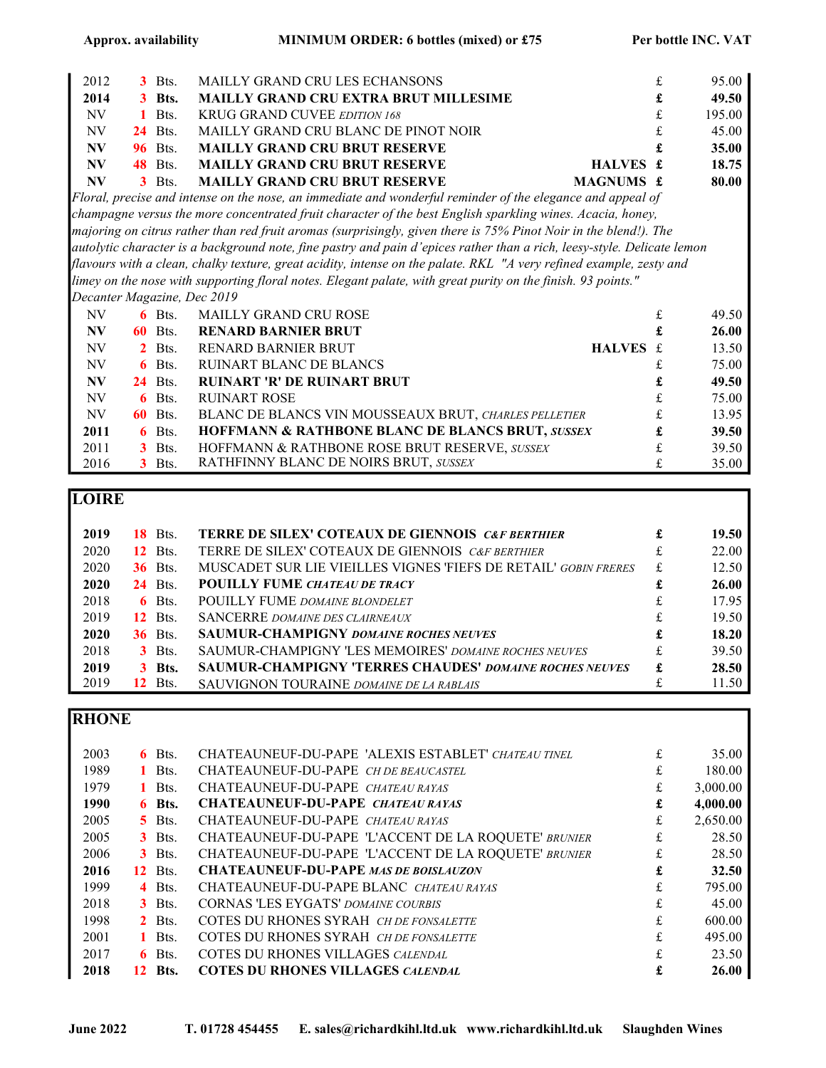| 2012      | 3            | Bts.     | MAILLY GRAND CRU LES ECHANSONS                                                                                          | £ | 95.00  |
|-----------|--------------|----------|-------------------------------------------------------------------------------------------------------------------------|---|--------|
| 2014      |              | 3 Bts.   | <b>MAILLY GRAND CRU EXTRA BRUT MILLESIME</b>                                                                            | £ | 49.50  |
| NV        | 1.           | Bts.     | KRUG GRAND CUVEE EDITION 168                                                                                            | £ | 195.00 |
| NV        | 24           | Bts.     | MAILLY GRAND CRU BLANC DE PINOT NOIR                                                                                    |   | 45.00  |
| NV        | 96           | Bts.     | <b>MAILLY GRAND CRU BRUT RESERVE</b>                                                                                    |   | 35.00  |
| N V       | 48           | Bts.     | <b>MAILLY GRAND CRU BRUT RESERVE</b><br>HALVES £                                                                        |   | 18.75  |
| <b>NV</b> | 3            | Bts.     | <b>MAILLY GRAND CRU BRUT RESERVE</b><br>MAGNUMS £                                                                       |   | 80.00  |
|           |              |          | Floral, precise and intense on the nose, an immediate and wonderful reminder of the elegance and appeal of              |   |        |
|           |              |          | champagne versus the more concentrated fruit character of the best English sparkling wines. Acacia, honey,              |   |        |
|           |              |          | majoring on citrus rather than red fruit aromas (surprisingly, given there is 75% Pinot Noir in the blend!). The        |   |        |
|           |              |          | autolytic character is a background note, fine pastry and pain d'epices rather than a rich, leesy-style. Delicate lemon |   |        |
|           |              |          | flavours with a clean, chalky texture, great acidity, intense on the palate. RKL "A very refined example, zesty and     |   |        |
|           |              |          | limey on the nose with supporting floral notes. Elegant palate, with great purity on the finish. 93 points."            |   |        |
|           |              |          | Decanter Magazine, Dec 2019                                                                                             |   |        |
| NV        |              | $6$ Bts. | <b>MAILLY GRAND CRU ROSE</b>                                                                                            | £ | 49.50  |
| NV        | 60           | Bts.     | <b>RENARD BARNIER BRUT</b>                                                                                              | £ | 26.00  |
| NV        | $\mathbf{2}$ | Bts.     | HALVES £<br><b>RENARD BARNIER BRUT</b>                                                                                  |   | 13.50  |
| NV        | 6            | Bts.     | <b>RUINART BLANC DE BLANCS</b>                                                                                          | £ | 75.00  |
| N V       | 24           | Bts.     | <b>RUINART 'R' DE RUINART BRUT</b>                                                                                      | £ | 49.50  |
| NV        | 6            | Bts.     | <b>RUINART ROSE</b>                                                                                                     | £ | 75.00  |
| NV        | 60           | Bts.     | BLANC DE BLANCS VIN MOUSSEAUX BRUT, CHARLES PELLETIER                                                                   | £ | 13.95  |
| 2011      | 6            | Bts.     | HOFFMANN & RATHBONE BLANC DE BLANCS BRUT, SUSSEX                                                                        | £ | 39.50  |
| 2011      | 3            | Bts.     | HOFFMANN & RATHBONE ROSE BRUT RESERVE, SUSSEX                                                                           | £ | 39.50  |
| 2016      | 3            | Bts.     | RATHFINNY BLANC DE NOIRS BRUT, SUSSEX                                                                                   | £ | 35.00  |

### LOIRE

|      |                | <b>TERRE DE SILEX' COTEAUX DE GIENNOIS C&amp;F BERTHIER</b>     |   |       |
|------|----------------|-----------------------------------------------------------------|---|-------|
| 2019 | <b>18</b> Bts. |                                                                 | £ | 19.50 |
| 2020 | <b>12</b> Bts. | TERRE DE SILEX' COTEAUX DE GIENNOIS C&F BERTHIER                |   | 22.00 |
| 2020 | <b>36</b> Bts. | MUSCADET SUR LIE VIEILLES VIGNES 'FIEFS DE RETAIL' GOBIN FRERES | £ | 12.50 |
| 2020 | <b>24</b> Bts. | <b>POUILLY FUME CHATEAU DE TRACY</b>                            |   | 26.00 |
| 2018 | $6$ Bts.       | <b>POUILLY FUME DOMAINE BLONDELET</b>                           |   | 17.95 |
| 2019 | <b>12</b> Bts. | <b>SANCERRE DOMAINE DES CLAIRNEAUX</b>                          | £ | 19.50 |
| 2020 | <b>36</b> Bts. | <b>SAUMUR-CHAMPIGNY DOMAINE ROCHES NEUVES</b>                   | £ | 18.20 |
| 2018 | $3$ Bts.       | <b>SAUMUR-CHAMPIGNY 'LES MEMOIRES' DOMAINE ROCHES NEUVES</b>    | £ | 39.50 |
| 2019 | <b>3</b> Bts.  | <b>SAUMUR-CHAMPIGNY 'TERRES CHAUDES' DOMAINE ROCHES NEUVES</b>  | £ | 28.50 |
| 2019 | Bts.<br>12.    | <b>SAUVIGNON TOURAINE DOMAINE DE LA RABLAIS</b>                 |   | 11.50 |

# **RHONE**

| 2003 | $6$ Bts.            | CHATEAUNEUF-DU-PAPE 'ALEXIS ESTABLET' CHATEAU TINEL  | £ | 35.00    |
|------|---------------------|------------------------------------------------------|---|----------|
| 1989 | Bts.                | CHATEAUNEUF-DU-PAPE CH DE BEAUCASTEL                 | £ | 180.00   |
| 1979 | Bts.                | CHATEAUNEUF-DU-PAPE CHATEAU RAYAS                    | £ | 3,000.00 |
| 1990 | $6$ Bts.            | <b>CHATEAUNEUF-DU-PAPE CHATEAU RAYAS</b>             | £ | 4,000.00 |
| 2005 | $\overline{5}$ Bts. | CHATEAUNEUF-DU-PAPE CHATEAU RAYAS                    | £ | 2,650.00 |
| 2005 | $3$ Bts.            | CHATEAUNEUF-DU-PAPE 'L'ACCENT DE LA ROQUETE' BRUNIER | £ | 28.50    |
| 2006 | $3$ Bts.            | CHATEAUNEUF-DU-PAPE 'L'ACCENT DE LA ROQUETE' BRUNIER | £ | 28.50    |
| 2016 | Bts.<br>12          | <b>CHATEAUNEUF-DU-PAPE MAS DE BOISLAUZON</b>         | £ | 32.50    |
| 1999 | $4$ Bts.            | CHATEAUNEUF-DU-PAPE BLANC CHATEAU RAYAS              | £ | 795.00   |
| 2018 | $3$ Bts.            | <b>CORNAS 'LES EYGATS' DOMAINE COURBIS</b>           | £ | 45.00    |
| 1998 | $2$ Bts.            | COTES DU RHONES SYRAH CH DE FONSALETTE               | £ | 600.00   |
| 2001 | $1$ Bts.            | COTES DU RHONES SYRAH CH DE FONSALETTE               | £ | 495.00   |
| 2017 | $6$ Bts.            | COTES DU RHONES VILLAGES CALENDAL                    | £ | 23.50    |
| 2018 | Bts.<br>12          | <b>COTES DU RHONES VILLAGES CALENDAL</b>             |   | 26.00    |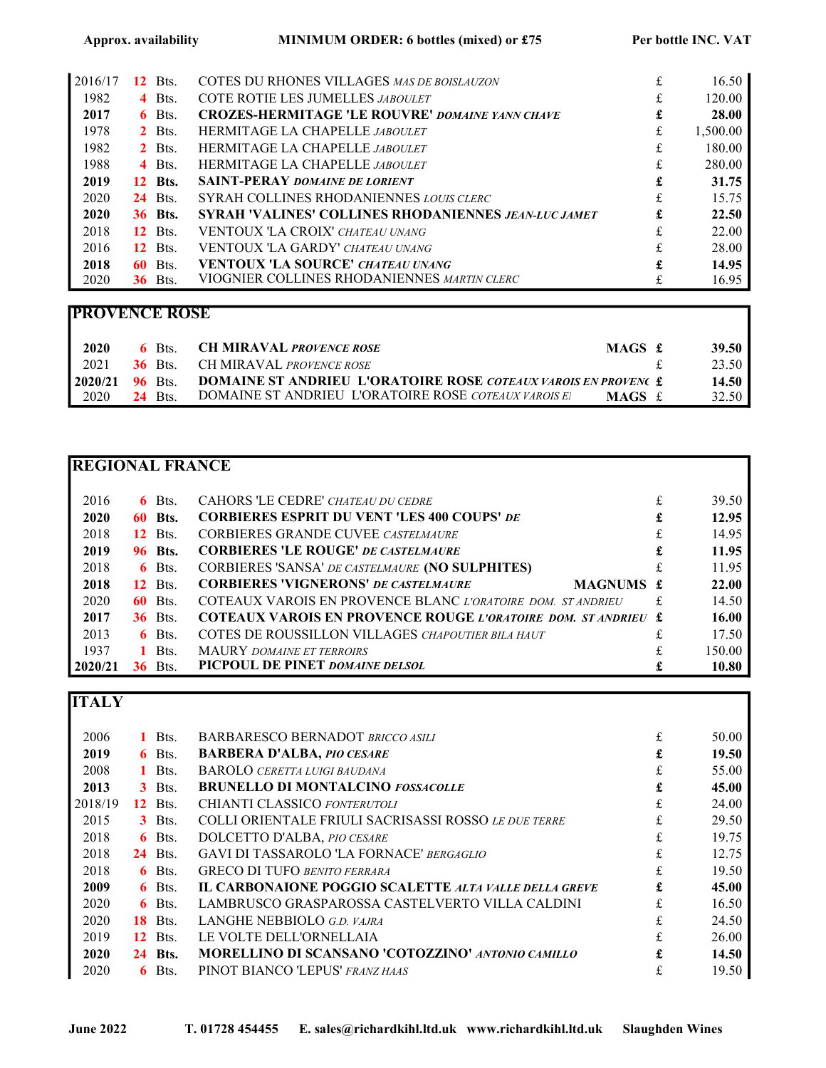| 2016/17 | 12              | Bts.           | COTES DU RHONES VILLAGES MAS DE BOISLAUZON                  | £ | 16.50    |
|---------|-----------------|----------------|-------------------------------------------------------------|---|----------|
| 1982    |                 | $4$ Bts.       | COTE ROTIE LES JUMELLES JABOULET                            |   | 120.00   |
| 2017    |                 | $6$ Bts.       | <b>CROZES-HERMITAGE 'LE ROUVRE' DOMAINE YANN CHAVE</b>      | £ | 28.00    |
| 1978    |                 | $2$ Bts.       | <b>HERMITAGE LA CHAPELLE JABOULET</b>                       | £ | 1,500.00 |
| 1982    |                 | $2$ Bts.       | <b>HERMITAGE LA CHAPELLE JABOULET</b>                       | £ | 180.00   |
| 1988    |                 | $4$ Bts.       | <b>HERMITAGE LA CHAPELLE JABOULET</b>                       |   | 280.00   |
| 2019    |                 | <b>12</b> Bts. | <b>SAINT-PERAY DOMAINE DE LORIENT</b>                       | £ | 31.75    |
| 2020    |                 | <b>24</b> Bts. | SYRAH COLLINES RHODANIENNES LOUIS CLERC                     | £ | 15.75    |
| 2020    |                 | <b>36 Bts.</b> | <b>SYRAH 'VALINES' COLLINES RHODANIENNES JEAN-LUC JAMET</b> | £ | 22.50    |
| 2018    |                 | <b>12</b> Bts. | <b>VENTOUX 'LA CROIX' CHATEAU UNANG</b>                     |   | 22.00    |
| 2016    | 12 <sup>7</sup> | Bts.           | <b>VENTOUX 'LA GARDY' CHATEAU UNANG</b>                     | £ | 28.00    |
| 2018    |                 | <b>60</b> Bts. | <b>VENTOUX 'LA SOURCE' CHATEAU UNANG</b>                    | £ | 14.95    |
| 2020    |                 | <b>36</b> Bts. | VIOGNIER COLLINES RHODANIENNES MARTIN CLERC                 |   | 16.95    |

## PROVENCE ROSE

| 2020 | $6$ Bts.       | <b>CH MIRAVAL PROVENCE ROSE</b><br>MAGS £                                             |  | 39.50   |
|------|----------------|---------------------------------------------------------------------------------------|--|---------|
| 2021 |                | <b>36 Bts.</b> CH MIRAVAL <i>PROVENCE ROSE</i>                                        |  | 23.50   |
|      |                | <b>12020/21 96 Bts. DOMAINE ST ANDRIEU L'ORATOIRE ROSE COTEAUX VAROIS EN PROVENCE</b> |  | 14.50   |
| 2020 | <b>24</b> Bts. | DOMAINE ST ANDRIEU L'ORATOIRE ROSE COTEAUX VAROIS EI<br>MAGS f.                       |  | 32.50 l |

### REGIONAL FRANCE

| 2016    |    | $6$ Bts.       | CAHORS 'LE CEDRE' CHATEAU DU CEDRE                                  |   | 39.50  |
|---------|----|----------------|---------------------------------------------------------------------|---|--------|
| 2020    |    | <b>60 Bts.</b> | <b>CORBIERES ESPRIT DU VENT 'LES 400 COUPS' DE</b>                  | £ | 12.95  |
| 2018    |    | <b>12</b> Bts. | <b>CORBIERES GRANDE CUVEE CASTELMAURE</b>                           |   | 14.95  |
| 2019    |    | <b>96 Bts.</b> | <b>CORBIERES 'LE ROUGE' DE CASTELMAURE</b>                          | £ | 11.95  |
| 2018    |    | $6$ Bts.       | CORBIERES 'SANSA' DE CASTELMAURE (NO SULPHITES)                     |   | 11.95  |
| 2018    |    | <b>12</b> Bts. | <b>CORBIERES 'VIGNERONS' DE CASTELMAURE</b><br>MAGNUMS £            |   | 22.00  |
| 2020    |    | <b>60</b> Bts. | COTEAUX VAROIS EN PROVENCE BLANC L'ORATOIRE DOM. STANDRIEU          |   | 14.50  |
| 2017    |    | <b>36</b> Bts. | <b>COTEAUX VAROIS EN PROVENCE ROUGE L'ORATOIRE DOM. STANDRIEU £</b> |   | 16.00  |
| 2013    |    | $6$ Bts.       | COTES DE ROUSSILLON VILLAGES CHAPOUTIER BILA HAUT                   |   | 17.50  |
| 1937    |    | 1 Bts.         | <b>MAURY</b> DOMAINE ET TERROIRS                                    |   | 150.00 |
| 2020/21 | 36 | Bts.           | PICPOUL DE PINET DOMAINE DELSOL                                     |   | 10.80  |

# **ITALY**

| 2006    |     | $1$ Bts. | <b>BARBARESCO BERNADOT BRICCO ASILI</b>                      | £  | 50.00 |
|---------|-----|----------|--------------------------------------------------------------|----|-------|
| 2019    |     | $6$ Bts. | <b>BARBERA D'ALBA, PIO CESARE</b>                            | £  | 19.50 |
| 2008    |     | $1$ Bts. | <b>BAROLO CERETTA LUIGI BAUDANA</b>                          | £  | 55.00 |
| 2013    |     | $3$ Bts. | <b>BRUNELLO DI MONTALCINO FOSSACOLLE</b>                     | £  | 45.00 |
| 2018/19 | 12  | Bts.     | CHIANTI CLASSICO FONTERUTOLI                                 | £  | 24.00 |
| 2015    |     | $3$ Bts. | COLLI ORIENTALE FRIULI SACRISASSI ROSSO LE DUE TERRE         |    | 29.50 |
| 2018    |     | $6$ Bts. | DOLCETTO D'ALBA, PIO CESARE                                  | £  | 19.75 |
| 2018    | 24  | Bts.     | <b>GAVI DI TASSAROLO 'LA FORNACE' BERGAGLIO</b>              | £  | 12.75 |
| 2018    |     | $6$ Bts. | <b>GRECO DI TUFO BENITO FERRARA</b>                          | £  | 19.50 |
| 2009    |     | $6$ Bts. | <b>IL CARBONAIONE POGGIO SCALETTE ALTA VALLE DELLA GREVE</b> | £  | 45.00 |
| 2020    |     | $6$ Bts. | LAMBRUSCO GRASPAROSSA CASTELVERTO VILLA CALDINI              | f. | 16.50 |
| 2020    | 18. | Bts.     | LANGHE NEBBIOLO G.D. VAJRA                                   | £  | 24.50 |
| 2019    | 12  | Bts.     | LE VOLTE DELL'ORNELLAIA                                      | f. | 26.00 |
| 2020    | 24  | Bts.     | MORELLINO DI SCANSANO 'COTOZZINO' ANTONIO CAMILLO            |    | 14.50 |
| 2020    | 6.  | Bts.     | PINOT BIANCO 'LEPUS' FRANZ HAAS                              |    | 19.50 |
|         |     |          |                                                              |    |       |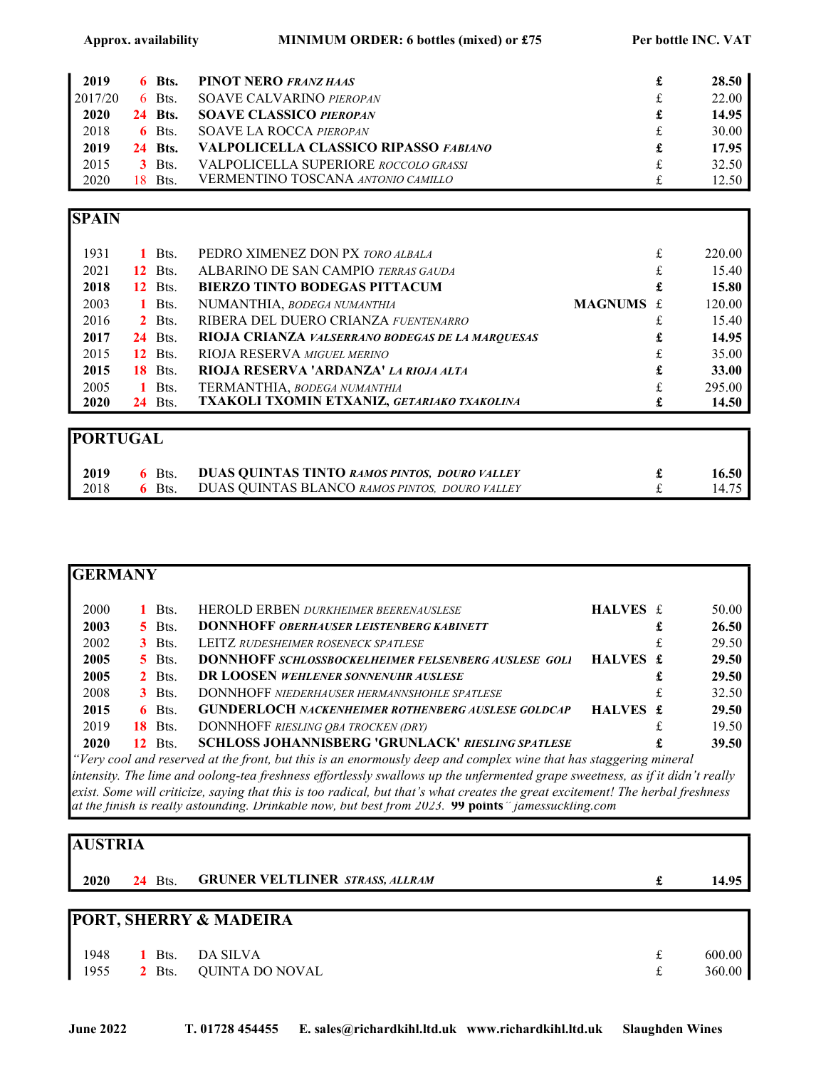| 2019    |     | $6$ Bts.       | <b>PINOT NERO FRANZ HAAS</b>                 |   | 28.50 |
|---------|-----|----------------|----------------------------------------------|---|-------|
| 2017/20 |     | $6$ Bts.       | <b>SOAVE CALVARINO PIEROPAN</b>              | £ | 22.00 |
| 2020    |     | <b>24 Bts.</b> | <b>SOAVE CLASSICO PIEROPAN</b>               | £ | 14.95 |
| 2018    |     | $6$ Bts.       | <b>SOAVE LA ROCCA PIEROPAN</b>               | £ | 30.00 |
| 2019    |     | <b>24 Bts.</b> | <b>VALPOLICELLA CLASSICO RIPASSO FABIANO</b> | £ | 17.95 |
| 2015    |     | <b>3</b> Bts.  | <b>VALPOLICELLA SUPERIORE ROCCOLO GRASSI</b> | £ | 32.50 |
| 2020    | 18. | - Bts.         | <b>VERMENTINO TOSCANA ANTONIO CAMILLO</b>    | £ | 12.50 |

#### **SPAIN**

| 1931                                                                          |     | Bts.           | PEDRO XIMENEZ DON PX TORO ALBALA                        |           | £ | 220.00 |
|-------------------------------------------------------------------------------|-----|----------------|---------------------------------------------------------|-----------|---|--------|
| 2021                                                                          |     | <b>12</b> Bts. | ALBARINO DE SAN CAMPIO TERRAS GAUDA                     |           | £ | 15.40  |
| 2018                                                                          |     | <b>12</b> Bts. | <b>BIERZO TINTO BODEGAS PITTACUM</b>                    |           | £ | 15.80  |
| 2003                                                                          | 1.  | Bts.           | NUMANTHIA, BODEGA NUMANTHIA                             | MAGNUMS £ |   | 120.00 |
| 2016                                                                          |     | $2$ Bts.       | RIBERA DEL DUERO CRIANZA FUENTENARRO                    |           |   | 15.40  |
| 2017                                                                          |     | <b>24</b> Bts. | <b>RIOJA CRIANZA VALSERRANO BODEGAS DE LA MARQUESAS</b> |           | £ | 14.95  |
| 2015                                                                          |     | <b>12</b> Bts. | <b>RIOJA RESERVA MIGUEL MERINO</b>                      |           | £ | 35.00  |
| 2015                                                                          | 18. | Bts.           | RIOJA RESERVA 'ARDANZA' LA RIOJA ALTA                   |           | £ | 33.00  |
| 2005                                                                          | 1.  | Bts.           | TERMANTHIA, BODEGA NUMANTHIA                            |           |   | 295.00 |
| 2020                                                                          |     | <b>24</b> Bts. | TXAKOLI TXOMIN ETXANIZ, GETARIAKO TXAKOLINA             |           |   | 14.50  |
|                                                                               |     |                |                                                         |           |   |        |
| $\bf{D}\bm{\cap}\bf{D}\bm{\mathrm{T}}\bf{I}\bf{I}\bm{\cap}\bm{\Lambda}\bf{I}$ |     |                |                                                         |           |   |        |

| IPUK I UGAL |          |                                                      |                   |
|-------------|----------|------------------------------------------------------|-------------------|
| 2019        |          | 6 Bts. DUAS QUINTAS TINTO RAMOS PINTOS, DOURO VALLEY | 16.50             |
| 2018        | $6$ Bts. | DUAS QUINTAS BLANCO RAMOS PINTOS, DOURO VALLEY       | $14.75 \text{ h}$ |

| <b>GERMANY</b> |     |                     |                                                                                                                   |          |    |       |
|----------------|-----|---------------------|-------------------------------------------------------------------------------------------------------------------|----------|----|-------|
| 2000           |     | Bts.                | HEROLD ERBEN DURKHEIMER BEERENAUSLESE                                                                             | HALVES £ |    | 50.00 |
| 2003           |     | $\overline{5}$ Bts. | <b>DONNHOFF OBERHAUSER LEISTENBERG KABINETT</b>                                                                   |          |    | 26.50 |
| 2002           |     | $3$ Bts.            | <b>LEITZ RUDESHEIMER ROSENECK SPATLESE</b>                                                                        |          |    | 29.50 |
| 2005           |     | $\overline{5}$ Bts. | <b>DONNHOFF SCHLOSSBOCKELHEIMER FELSENBERG AUSLESE GOLI</b>                                                       | HALVES £ |    | 29.50 |
| 2005           |     | $2$ Bts.            | <b>DR LOOSEN WEHLENER SONNENUHR AUSLESE</b>                                                                       |          |    | 29.50 |
| 2008           |     | $3$ Bts.            | <b>DONNHOFF NIEDERHAUSER HERMANNSHOHLE SPATLESE</b>                                                               |          | Ŧ. | 32.50 |
| 2015           |     | $6$ Bts.            | <b>GUNDERLOCH NACKENHEIMER ROTHENBERG AUSLESE GOLDCAP</b>                                                         | HALVES £ |    | 29.50 |
| 2019           | 18. | Bts.                | DONNHOFF RIESLING OBA TROCKEN (DRY)                                                                               |          |    | 19.50 |
| 2020           | 12  | Bts.                | <b>SCHLOSS JOHANNISBERG 'GRUNLACK' RIESLING SPATLESE</b>                                                          |          |    | 39.50 |
|                |     |                     | "Very cool and reserved at the front, but this is an enormously deep and complex wine that has staggering mineral |          |    |       |

intensity. The lime and oolong-tea freshness effortlessly swallows up the unfermented grape sweetness, as if it didn't really exist. Some will criticize, saying that this is too radical, but that's what creates the great excitement! The herbal freshness at the finish is really astounding. Drinkable now, but best from 2023. 99 points" jamessuckling.com

#### AUSTRIA

| 2020 24 Bts. GRUNER VELTLINER STRASS, ALLRAM |  | 14.95 |
|----------------------------------------------|--|-------|
|----------------------------------------------|--|-------|

# PORT, SHERRY & MADEIRA

|  | $1948$ 1 Bts. DA SILVA                   | 600.00 |
|--|------------------------------------------|--------|
|  | 1955 $\overline{2}$ Bts. QUINTA DO NOVAL | 360.00 |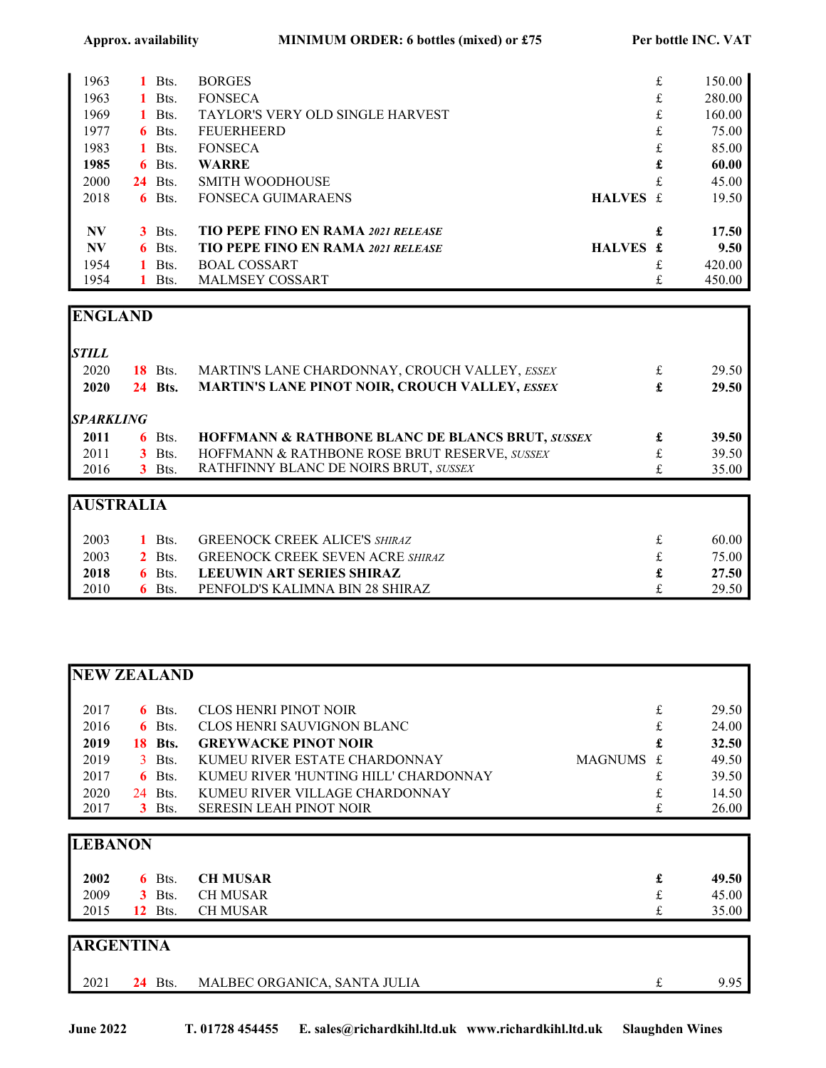| 1963      |    | Bts.           | <b>BORGES</b>                             |          | £ | 150.00 |
|-----------|----|----------------|-------------------------------------------|----------|---|--------|
| 1963      |    | Bts.           | <b>FONSECA</b>                            |          | £ | 280.00 |
| 1969      |    | 1 Bts.         | <b>TAYLOR'S VERY OLD SINGLE HARVEST</b>   |          | £ | 160.00 |
| 1977      | 6. | Bts.           | <b>FEUERHEERD</b>                         |          | £ | 75.00  |
| 1983      | 1. | Bts.           | <b>FONSECA</b>                            |          | £ | 85.00  |
| 1985      | 6. | Bts.           | <b>WARRE</b>                              |          | £ | 60.00  |
| 2000      |    | <b>24</b> Bts. | <b>SMITH WOODHOUSE</b>                    |          | £ | 45.00  |
| 2018      | 6. | Bts.           | <b>FONSECA GUIMARAENS</b>                 | HALVES £ |   | 19.50  |
| <b>NV</b> | 3  | Bts.           | <b>TIO PEPE FINO EN RAMA 2021 RELEASE</b> |          | £ | 17.50  |
| <b>NV</b> | 6. | Bts.           | <b>TIO PEPE FINO EN RAMA 2021 RELEASE</b> | HALVES £ |   | 9.50   |
| 1954      |    | Bts.           | <b>BOAL COSSART</b>                       |          |   | 420.00 |
| 1954      |    | Bts.           | <b>MALMSEY COSSART</b>                    |          | £ | 450.00 |

## ENGLAND

| <b>STILL</b>     |                |                                                             |   |       |
|------------------|----------------|-------------------------------------------------------------|---|-------|
| 2020             | <b>18</b> Bts. | MARTIN'S LANE CHARDONNAY, CROUCH VALLEY, ESSEX              | £ | 29.50 |
| 2020             | <b>24 Bts.</b> | <b>MARTIN'S LANE PINOT NOIR, CROUCH VALLEY, ESSEX</b>       | £ | 29.50 |
| <b>SPARKLING</b> |                |                                                             |   |       |
| 2011             | $6$ Bts.       | <b>HOFFMANN &amp; RATHBONE BLANC DE BLANCS BRUT, SUSSEX</b> |   | 39.50 |
| 2011             | $3$ Bts.       | HOFFMANN & RATHBONE ROSE BRUT RESERVE, SUSSEX               |   | 39.50 |
| 2016             | $3$ Bts.       | RATHFINNY BLANC DE NOIRS BRUT, SUSSEX                       |   | 35.00 |
|                  |                |                                                             |   |       |
| <b>AUSTRALIA</b> |                |                                                             |   |       |
| 2003             | Bts.           | <b>GREENOCK CREEK ALICE'S SHIRAZ</b>                        | £ | 60.00 |

| ---  | ---         |                                         | .     |
|------|-------------|-----------------------------------------|-------|
| 2003 | Bts.        | <b>GREENOCK CREEK SEVEN ACRE SHIRAZ</b> | 75.00 |
| 2018 | Bts.        | LEEUWIN ART SERIES SHIRAZ               | 27.50 |
| 2010 | <b>Bts.</b> | PENFOLD'S KALIMNA BIN 28 SHIRAZ         | 29.50 |

| <b>NEW ZEALAND</b> |     |          |                                       |           |              |
|--------------------|-----|----------|---------------------------------------|-----------|--------------|
| 2017               |     | $6$ Bts. | CLOS HENRI PINOT NOIR                 | £         | 29.50        |
| 2016               |     | $6$ Bts. | CLOS HENRI SAUVIGNON BLANC            | £         | 24.00        |
| 2019               | 18. | Bts.     | <b>GREYWACKE PINOT NOIR</b>           | £         | <b>32.50</b> |
| 2019               |     | $3$ Bts. | KUMEU RIVER ESTATE CHARDONNAY         | MAGNUMS £ | 49.50        |
| 2017               |     | $6$ Bts. | KUMEU RIVER 'HUNTING HILL' CHARDONNAY | £         | 39.50        |
| 2020               |     | 24 Bts.  | KUMEU RIVER VILLAGE CHARDONNAY        | £         | 14.50        |
| 2017               |     | $3$ Bts. | <b>SERESIN LEAH PINOT NOIR</b>        |           | 26.00        |
|                    |     |          |                                       |           |              |
| <b>LEBANON</b>     |     |          |                                       |           |              |

| 2002 | 6 Bts. CH MUSAR  | £                 | 49.50 |
|------|------------------|-------------------|-------|
| 2009 | 3 Bts. CH MUSAR  | $\mathbf{f}$<br>~ | 45.00 |
| 2015 | 12 Bts. CH MUSAR |                   | 35.00 |
|      |                  |                   |       |

| <b>ARGENTINA</b> |            |                              |    |      |  |
|------------------|------------|------------------------------|----|------|--|
| 2021             | Bts.<br>24 | MALBEC ORGANICA, SANTA JULIA | ىم | 9.95 |  |